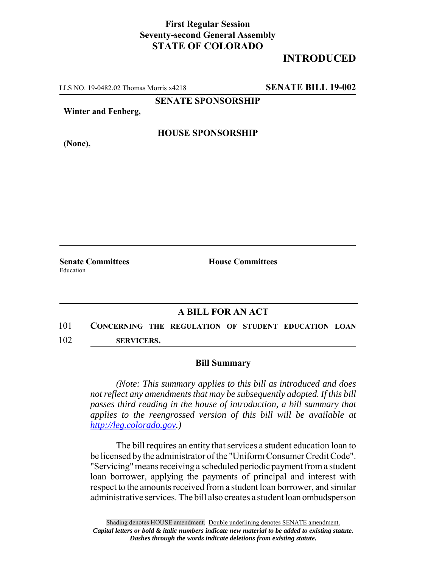## **First Regular Session Seventy-second General Assembly STATE OF COLORADO**

## **INTRODUCED**

LLS NO. 19-0482.02 Thomas Morris x4218 **SENATE BILL 19-002**

**SENATE SPONSORSHIP**

**Winter and Fenberg,**

**HOUSE SPONSORSHIP**

**(None),**

Education

**Senate Committees House Committees** 

## **A BILL FOR AN ACT**

101 **CONCERNING THE REGULATION OF STUDENT EDUCATION LOAN** 102 **SERVICERS.**

## **Bill Summary**

*(Note: This summary applies to this bill as introduced and does not reflect any amendments that may be subsequently adopted. If this bill passes third reading in the house of introduction, a bill summary that applies to the reengrossed version of this bill will be available at http://leg.colorado.gov.)*

The bill requires an entity that services a student education loan to be licensed by the administrator of the "Uniform Consumer Credit Code". "Servicing" means receiving a scheduled periodic payment from a student loan borrower, applying the payments of principal and interest with respect to the amounts received from a student loan borrower, and similar administrative services. The bill also creates a student loan ombudsperson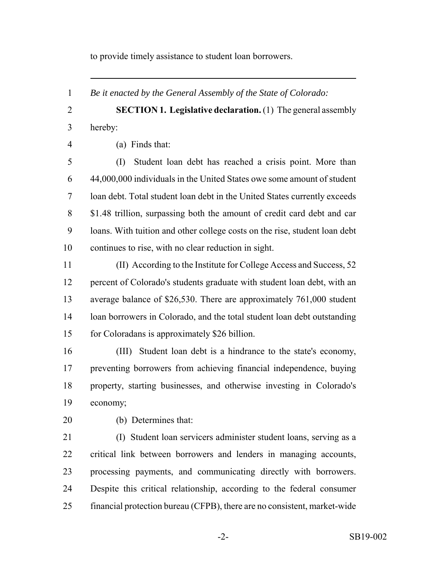to provide timely assistance to student loan borrowers.

*Be it enacted by the General Assembly of the State of Colorado:*

 **SECTION 1. Legislative declaration.** (1) The general assembly hereby:

(a) Finds that:

 (I) Student loan debt has reached a crisis point. More than 44,000,000 individuals in the United States owe some amount of student loan debt. Total student loan debt in the United States currently exceeds \$1.48 trillion, surpassing both the amount of credit card debt and car loans. With tuition and other college costs on the rise, student loan debt continues to rise, with no clear reduction in sight.

 (II) According to the Institute for College Access and Success, 52 percent of Colorado's students graduate with student loan debt, with an average balance of \$26,530. There are approximately 761,000 student loan borrowers in Colorado, and the total student loan debt outstanding for Coloradans is approximately \$26 billion.

 (III) Student loan debt is a hindrance to the state's economy, preventing borrowers from achieving financial independence, buying property, starting businesses, and otherwise investing in Colorado's economy;

(b) Determines that:

 (I) Student loan servicers administer student loans, serving as a critical link between borrowers and lenders in managing accounts, processing payments, and communicating directly with borrowers. Despite this critical relationship, according to the federal consumer financial protection bureau (CFPB), there are no consistent, market-wide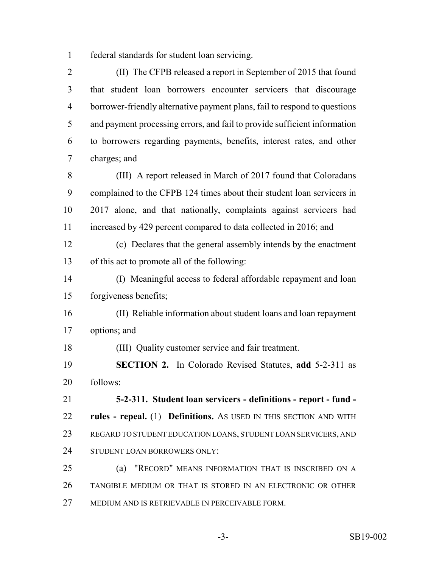federal standards for student loan servicing.

 (II) The CFPB released a report in September of 2015 that found that student loan borrowers encounter servicers that discourage borrower-friendly alternative payment plans, fail to respond to questions and payment processing errors, and fail to provide sufficient information to borrowers regarding payments, benefits, interest rates, and other charges; and

 (III) A report released in March of 2017 found that Coloradans complained to the CFPB 124 times about their student loan servicers in 2017 alone, and that nationally, complaints against servicers had 11 increased by 429 percent compared to data collected in 2016; and

 (c) Declares that the general assembly intends by the enactment of this act to promote all of the following:

 (I) Meaningful access to federal affordable repayment and loan forgiveness benefits;

 (II) Reliable information about student loans and loan repayment options; and

(III) Quality customer service and fair treatment.

 **SECTION 2.** In Colorado Revised Statutes, **add** 5-2-311 as follows:

 **5-2-311. Student loan servicers - definitions - report - fund - rules - repeal.** (1) **Definitions.** AS USED IN THIS SECTION AND WITH REGARD TO STUDENT EDUCATION LOANS, STUDENT LOAN SERVICERS, AND STUDENT LOAN BORROWERS ONLY:

 (a) "RECORD" MEANS INFORMATION THAT IS INSCRIBED ON A TANGIBLE MEDIUM OR THAT IS STORED IN AN ELECTRONIC OR OTHER MEDIUM AND IS RETRIEVABLE IN PERCEIVABLE FORM.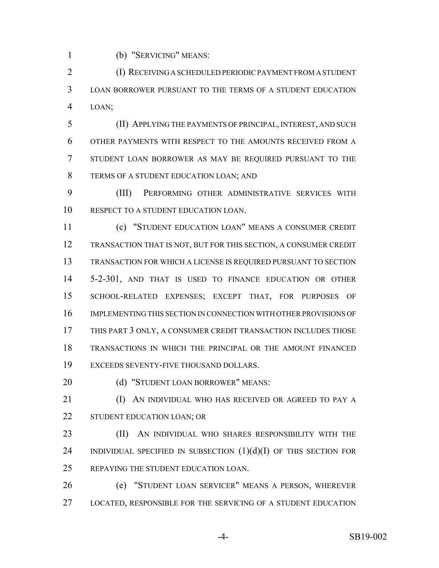(b) "SERVICING" MEANS:

 (I) RECEIVING A SCHEDULED PERIODIC PAYMENT FROM A STUDENT LOAN BORROWER PURSUANT TO THE TERMS OF A STUDENT EDUCATION LOAN;

 (II) APPLYING THE PAYMENTS OF PRINCIPAL, INTEREST, AND SUCH OTHER PAYMENTS WITH RESPECT TO THE AMOUNTS RECEIVED FROM A STUDENT LOAN BORROWER AS MAY BE REQUIRED PURSUANT TO THE TERMS OF A STUDENT EDUCATION LOAN; AND

 (III) PERFORMING OTHER ADMINISTRATIVE SERVICES WITH RESPECT TO A STUDENT EDUCATION LOAN.

 (c) "STUDENT EDUCATION LOAN" MEANS A CONSUMER CREDIT TRANSACTION THAT IS NOT, BUT FOR THIS SECTION, A CONSUMER CREDIT TRANSACTION FOR WHICH A LICENSE IS REQUIRED PURSUANT TO SECTION 5-2-301, AND THAT IS USED TO FINANCE EDUCATION OR OTHER SCHOOL-RELATED EXPENSES; EXCEPT THAT, FOR PURPOSES OF IMPLEMENTING THIS SECTION IN CONNECTION WITH OTHER PROVISIONS OF THIS PART 3 ONLY, A CONSUMER CREDIT TRANSACTION INCLUDES THOSE TRANSACTIONS IN WHICH THE PRINCIPAL OR THE AMOUNT FINANCED EXCEEDS SEVENTY-FIVE THOUSAND DOLLARS.

20 (d) "STUDENT LOAN BORROWER" MEANS:

**(I) AN INDIVIDUAL WHO HAS RECEIVED OR AGREED TO PAY A** 22 STUDENT EDUCATION LOAN; OR

**(II)** AN INDIVIDUAL WHO SHARES RESPONSIBILITY WITH THE 24 INDIVIDUAL SPECIFIED IN SUBSECTION  $(1)(d)(I)$  OF THIS SECTION FOR REPAYING THE STUDENT EDUCATION LOAN.

 (e) "STUDENT LOAN SERVICER" MEANS A PERSON, WHEREVER LOCATED, RESPONSIBLE FOR THE SERVICING OF A STUDENT EDUCATION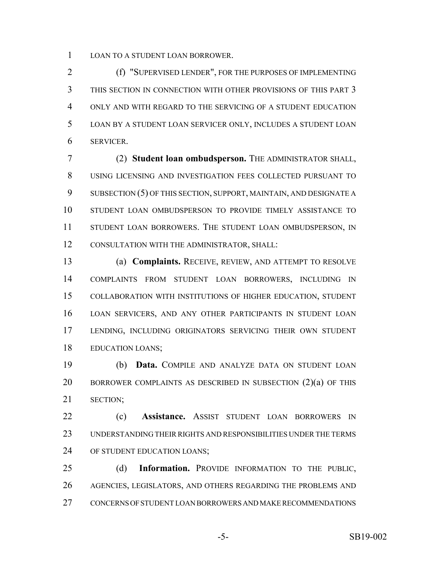LOAN TO A STUDENT LOAN BORROWER.

 (f) "SUPERVISED LENDER", FOR THE PURPOSES OF IMPLEMENTING THIS SECTION IN CONNECTION WITH OTHER PROVISIONS OF THIS PART 3 ONLY AND WITH REGARD TO THE SERVICING OF A STUDENT EDUCATION LOAN BY A STUDENT LOAN SERVICER ONLY, INCLUDES A STUDENT LOAN SERVICER.

 (2) **Student loan ombudsperson.** THE ADMINISTRATOR SHALL, USING LICENSING AND INVESTIGATION FEES COLLECTED PURSUANT TO 9 SUBSECTION (5) OF THIS SECTION, SUPPORT, MAINTAIN, AND DESIGNATE A STUDENT LOAN OMBUDSPERSON TO PROVIDE TIMELY ASSISTANCE TO 11 STUDENT LOAN BORROWERS. THE STUDENT LOAN OMBUDSPERSON, IN CONSULTATION WITH THE ADMINISTRATOR, SHALL:

 (a) **Complaints.** RECEIVE, REVIEW, AND ATTEMPT TO RESOLVE COMPLAINTS FROM STUDENT LOAN BORROWERS, INCLUDING IN COLLABORATION WITH INSTITUTIONS OF HIGHER EDUCATION, STUDENT LOAN SERVICERS, AND ANY OTHER PARTICIPANTS IN STUDENT LOAN LENDING, INCLUDING ORIGINATORS SERVICING THEIR OWN STUDENT EDUCATION LOANS;

 (b) **Data.** COMPILE AND ANALYZE DATA ON STUDENT LOAN BORROWER COMPLAINTS AS DESCRIBED IN SUBSECTION (2)(a) OF THIS SECTION;

 (c) **Assistance.** ASSIST STUDENT LOAN BORROWERS IN UNDERSTANDING THEIR RIGHTS AND RESPONSIBILITIES UNDER THE TERMS OF STUDENT EDUCATION LOANS;

 (d) **Information.** PROVIDE INFORMATION TO THE PUBLIC, AGENCIES, LEGISLATORS, AND OTHERS REGARDING THE PROBLEMS AND CONCERNS OF STUDENT LOAN BORROWERS AND MAKE RECOMMENDATIONS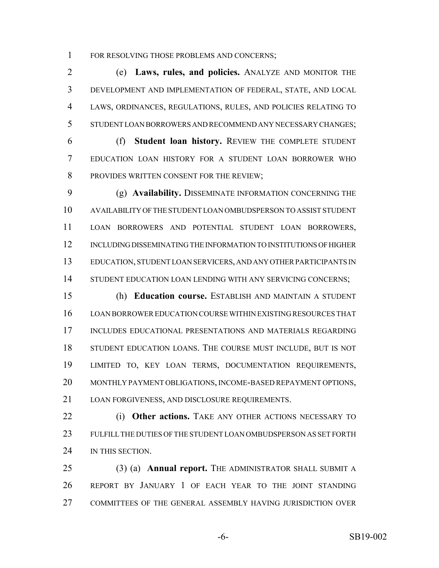1 FOR RESOLVING THOSE PROBLEMS AND CONCERNS;

 (e) **Laws, rules, and policies.** ANALYZE AND MONITOR THE DEVELOPMENT AND IMPLEMENTATION OF FEDERAL, STATE, AND LOCAL LAWS, ORDINANCES, REGULATIONS, RULES, AND POLICIES RELATING TO STUDENT LOAN BORROWERS AND RECOMMEND ANY NECESSARY CHANGES;

 (f) **Student loan history.** REVIEW THE COMPLETE STUDENT EDUCATION LOAN HISTORY FOR A STUDENT LOAN BORROWER WHO 8 PROVIDES WRITTEN CONSENT FOR THE REVIEW;

 (g) **Availability.** DISSEMINATE INFORMATION CONCERNING THE AVAILABILITY OF THE STUDENT LOAN OMBUDSPERSON TO ASSIST STUDENT LOAN BORROWERS AND POTENTIAL STUDENT LOAN BORROWERS, INCLUDING DISSEMINATING THE INFORMATION TO INSTITUTIONS OF HIGHER EDUCATION, STUDENT LOAN SERVICERS, AND ANY OTHER PARTICIPANTS IN 14 STUDENT EDUCATION LOAN LENDING WITH ANY SERVICING CONCERNS;

 (h) **Education course.** ESTABLISH AND MAINTAIN A STUDENT LOAN BORROWER EDUCATION COURSE WITHIN EXISTING RESOURCES THAT INCLUDES EDUCATIONAL PRESENTATIONS AND MATERIALS REGARDING STUDENT EDUCATION LOANS. THE COURSE MUST INCLUDE, BUT IS NOT LIMITED TO, KEY LOAN TERMS, DOCUMENTATION REQUIREMENTS, MONTHLY PAYMENT OBLIGATIONS, INCOME-BASED REPAYMENT OPTIONS, LOAN FORGIVENESS, AND DISCLOSURE REQUIREMENTS.

 (i) **Other actions.** TAKE ANY OTHER ACTIONS NECESSARY TO FULFILL THE DUTIES OF THE STUDENT LOAN OMBUDSPERSON AS SET FORTH 24 IN THIS SECTION.

 (3) (a) **Annual report.** THE ADMINISTRATOR SHALL SUBMIT A REPORT BY JANUARY 1 OF EACH YEAR TO THE JOINT STANDING COMMITTEES OF THE GENERAL ASSEMBLY HAVING JURISDICTION OVER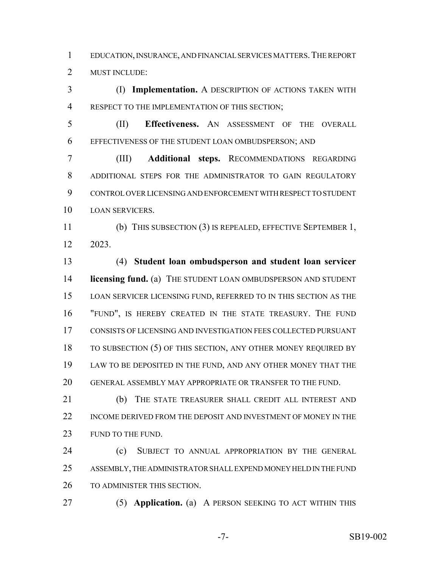EDUCATION, INSURANCE, AND FINANCIAL SERVICES MATTERS.THE REPORT MUST INCLUDE:

 (I) **Implementation.** A DESCRIPTION OF ACTIONS TAKEN WITH RESPECT TO THE IMPLEMENTATION OF THIS SECTION;

 (II) **Effectiveness.** AN ASSESSMENT OF THE OVERALL EFFECTIVENESS OF THE STUDENT LOAN OMBUDSPERSON; AND

 (III) **Additional steps.** RECOMMENDATIONS REGARDING ADDITIONAL STEPS FOR THE ADMINISTRATOR TO GAIN REGULATORY CONTROL OVER LICENSING AND ENFORCEMENT WITH RESPECT TO STUDENT LOAN SERVICERS.

 (b) THIS SUBSECTION (3) IS REPEALED, EFFECTIVE SEPTEMBER 1, 2023.

 (4) **Student loan ombudsperson and student loan servicer licensing fund.** (a) THE STUDENT LOAN OMBUDSPERSON AND STUDENT LOAN SERVICER LICENSING FUND, REFERRED TO IN THIS SECTION AS THE "FUND", IS HEREBY CREATED IN THE STATE TREASURY. THE FUND CONSISTS OF LICENSING AND INVESTIGATION FEES COLLECTED PURSUANT 18 TO SUBSECTION (5) OF THIS SECTION, ANY OTHER MONEY REQUIRED BY LAW TO BE DEPOSITED IN THE FUND, AND ANY OTHER MONEY THAT THE GENERAL ASSEMBLY MAY APPROPRIATE OR TRANSFER TO THE FUND.

21 (b) THE STATE TREASURER SHALL CREDIT ALL INTEREST AND INCOME DERIVED FROM THE DEPOSIT AND INVESTMENT OF MONEY IN THE 23 FUND TO THE FUND.

 (c) SUBJECT TO ANNUAL APPROPRIATION BY THE GENERAL ASSEMBLY, THE ADMINISTRATOR SHALL EXPEND MONEY HELD IN THE FUND TO ADMINISTER THIS SECTION.

(5) **Application.** (a) A PERSON SEEKING TO ACT WITHIN THIS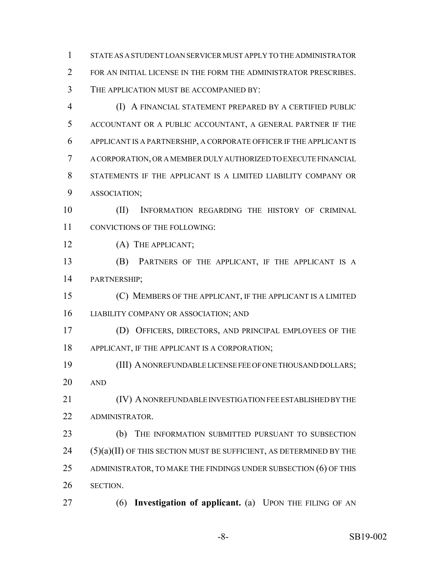STATE AS A STUDENT LOAN SERVICER MUST APPLY TO THE ADMINISTRATOR FOR AN INITIAL LICENSE IN THE FORM THE ADMINISTRATOR PRESCRIBES. THE APPLICATION MUST BE ACCOMPANIED BY:

 (I) A FINANCIAL STATEMENT PREPARED BY A CERTIFIED PUBLIC ACCOUNTANT OR A PUBLIC ACCOUNTANT, A GENERAL PARTNER IF THE APPLICANT IS A PARTNERSHIP, A CORPORATE OFFICER IF THE APPLICANT IS A CORPORATION, OR A MEMBER DULY AUTHORIZED TO EXECUTE FINANCIAL STATEMENTS IF THE APPLICANT IS A LIMITED LIABILITY COMPANY OR ASSOCIATION;

 (II) INFORMATION REGARDING THE HISTORY OF CRIMINAL CONVICTIONS OF THE FOLLOWING:

12 (A) THE APPLICANT;

 (B) PARTNERS OF THE APPLICANT, IF THE APPLICANT IS A PARTNERSHIP;

 (C) MEMBERS OF THE APPLICANT, IF THE APPLICANT IS A LIMITED LIABILITY COMPANY OR ASSOCIATION; AND

 (D) OFFICERS, DIRECTORS, AND PRINCIPAL EMPLOYEES OF THE APPLICANT, IF THE APPLICANT IS A CORPORATION;

 (III) A NONREFUNDABLE LICENSE FEE OF ONE THOUSAND DOLLARS; AND

 (IV) A NONREFUNDABLE INVESTIGATION FEE ESTABLISHED BY THE ADMINISTRATOR.

 (b) THE INFORMATION SUBMITTED PURSUANT TO SUBSECTION (5)(a)(II) OF THIS SECTION MUST BE SUFFICIENT, AS DETERMINED BY THE 25 ADMINISTRATOR, TO MAKE THE FINDINGS UNDER SUBSECTION (6) OF THIS SECTION.

(6) **Investigation of applicant.** (a) UPON THE FILING OF AN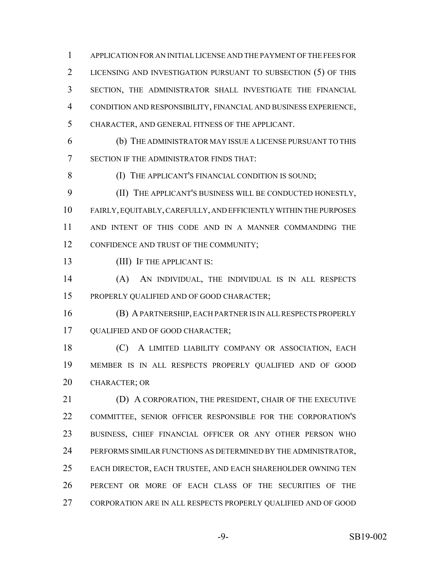APPLICATION FOR AN INITIAL LICENSE AND THE PAYMENT OF THE FEES FOR LICENSING AND INVESTIGATION PURSUANT TO SUBSECTION (5) OF THIS SECTION, THE ADMINISTRATOR SHALL INVESTIGATE THE FINANCIAL CONDITION AND RESPONSIBILITY, FINANCIAL AND BUSINESS EXPERIENCE, CHARACTER, AND GENERAL FITNESS OF THE APPLICANT.

 (b) THE ADMINISTRATOR MAY ISSUE A LICENSE PURSUANT TO THIS SECTION IF THE ADMINISTRATOR FINDS THAT:

**(I) THE APPLICANT'S FINANCIAL CONDITION IS SOUND;** 

 (II) THE APPLICANT'S BUSINESS WILL BE CONDUCTED HONESTLY, FAIRLY, EQUITABLY, CAREFULLY, AND EFFICIENTLY WITHIN THE PURPOSES AND INTENT OF THIS CODE AND IN A MANNER COMMANDING THE 12 CONFIDENCE AND TRUST OF THE COMMUNITY;

13 (III) IF THE APPLICANT IS:

 (A) AN INDIVIDUAL, THE INDIVIDUAL IS IN ALL RESPECTS PROPERLY QUALIFIED AND OF GOOD CHARACTER;

 (B) A PARTNERSHIP, EACH PARTNER IS IN ALL RESPECTS PROPERLY QUALIFIED AND OF GOOD CHARACTER;

18 (C) A LIMITED LIABILITY COMPANY OR ASSOCIATION, EACH MEMBER IS IN ALL RESPECTS PROPERLY QUALIFIED AND OF GOOD CHARACTER; OR

 (D) A CORPORATION, THE PRESIDENT, CHAIR OF THE EXECUTIVE COMMITTEE, SENIOR OFFICER RESPONSIBLE FOR THE CORPORATION'S BUSINESS, CHIEF FINANCIAL OFFICER OR ANY OTHER PERSON WHO PERFORMS SIMILAR FUNCTIONS AS DETERMINED BY THE ADMINISTRATOR, EACH DIRECTOR, EACH TRUSTEE, AND EACH SHAREHOLDER OWNING TEN PERCENT OR MORE OF EACH CLASS OF THE SECURITIES OF THE CORPORATION ARE IN ALL RESPECTS PROPERLY QUALIFIED AND OF GOOD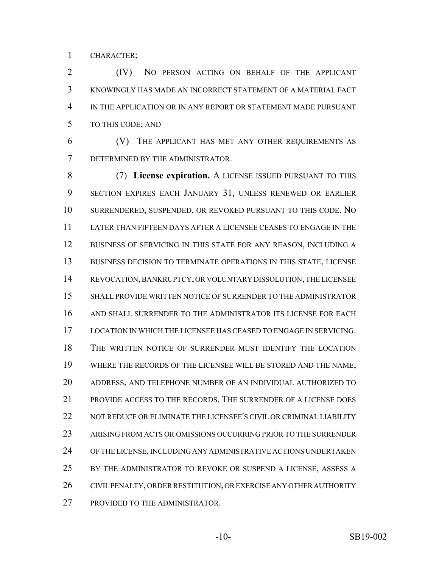CHARACTER;

 (IV) NO PERSON ACTING ON BEHALF OF THE APPLICANT KNOWINGLY HAS MADE AN INCORRECT STATEMENT OF A MATERIAL FACT IN THE APPLICATION OR IN ANY REPORT OR STATEMENT MADE PURSUANT TO THIS CODE; AND

 (V) THE APPLICANT HAS MET ANY OTHER REQUIREMENTS AS DETERMINED BY THE ADMINISTRATOR.

 (7) **License expiration.** A LICENSE ISSUED PURSUANT TO THIS SECTION EXPIRES EACH JANUARY 31, UNLESS RENEWED OR EARLIER SURRENDERED, SUSPENDED, OR REVOKED PURSUANT TO THIS CODE. NO LATER THAN FIFTEEN DAYS AFTER A LICENSEE CEASES TO ENGAGE IN THE 12 BUSINESS OF SERVICING IN THIS STATE FOR ANY REASON, INCLUDING A BUSINESS DECISION TO TERMINATE OPERATIONS IN THIS STATE, LICENSE REVOCATION, BANKRUPTCY, OR VOLUNTARY DISSOLUTION, THE LICENSEE SHALL PROVIDE WRITTEN NOTICE OF SURRENDER TO THE ADMINISTRATOR AND SHALL SURRENDER TO THE ADMINISTRATOR ITS LICENSE FOR EACH LOCATION IN WHICH THE LICENSEE HAS CEASED TO ENGAGE IN SERVICING. THE WRITTEN NOTICE OF SURRENDER MUST IDENTIFY THE LOCATION WHERE THE RECORDS OF THE LICENSEE WILL BE STORED AND THE NAME, ADDRESS, AND TELEPHONE NUMBER OF AN INDIVIDUAL AUTHORIZED TO PROVIDE ACCESS TO THE RECORDS. THE SURRENDER OF A LICENSE DOES NOT REDUCE OR ELIMINATE THE LICENSEE'S CIVIL OR CRIMINAL LIABILITY ARISING FROM ACTS OR OMISSIONS OCCURRING PRIOR TO THE SURRENDER OF THE LICENSE, INCLUDING ANY ADMINISTRATIVE ACTIONS UNDERTAKEN 25 BY THE ADMINISTRATOR TO REVOKE OR SUSPEND A LICENSE, ASSESS A CIVIL PENALTY, ORDER RESTITUTION, OR EXERCISE ANY OTHER AUTHORITY 27 PROVIDED TO THE ADMINISTRATOR.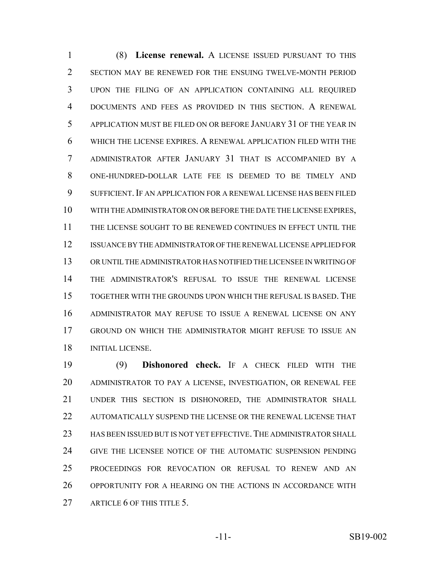(8) **License renewal.** A LICENSE ISSUED PURSUANT TO THIS SECTION MAY BE RENEWED FOR THE ENSUING TWELVE-MONTH PERIOD UPON THE FILING OF AN APPLICATION CONTAINING ALL REQUIRED DOCUMENTS AND FEES AS PROVIDED IN THIS SECTION. A RENEWAL APPLICATION MUST BE FILED ON OR BEFORE JANUARY 31 OF THE YEAR IN WHICH THE LICENSE EXPIRES. A RENEWAL APPLICATION FILED WITH THE ADMINISTRATOR AFTER JANUARY 31 THAT IS ACCOMPANIED BY A ONE-HUNDRED-DOLLAR LATE FEE IS DEEMED TO BE TIMELY AND SUFFICIENT.IF AN APPLICATION FOR A RENEWAL LICENSE HAS BEEN FILED WITH THE ADMINISTRATOR ON OR BEFORE THE DATE THE LICENSE EXPIRES, THE LICENSE SOUGHT TO BE RENEWED CONTINUES IN EFFECT UNTIL THE ISSUANCE BY THE ADMINISTRATOR OF THE RENEWAL LICENSE APPLIED FOR OR UNTIL THE ADMINISTRATOR HAS NOTIFIED THE LICENSEE IN WRITING OF THE ADMINISTRATOR'S REFUSAL TO ISSUE THE RENEWAL LICENSE TOGETHER WITH THE GROUNDS UPON WHICH THE REFUSAL IS BASED. THE ADMINISTRATOR MAY REFUSE TO ISSUE A RENEWAL LICENSE ON ANY GROUND ON WHICH THE ADMINISTRATOR MIGHT REFUSE TO ISSUE AN INITIAL LICENSE.

 (9) **Dishonored check.** IF A CHECK FILED WITH THE ADMINISTRATOR TO PAY A LICENSE, INVESTIGATION, OR RENEWAL FEE UNDER THIS SECTION IS DISHONORED, THE ADMINISTRATOR SHALL AUTOMATICALLY SUSPEND THE LICENSE OR THE RENEWAL LICENSE THAT 23 HAS BEEN ISSUED BUT IS NOT YET EFFECTIVE. THE ADMINISTRATOR SHALL GIVE THE LICENSEE NOTICE OF THE AUTOMATIC SUSPENSION PENDING PROCEEDINGS FOR REVOCATION OR REFUSAL TO RENEW AND AN OPPORTUNITY FOR A HEARING ON THE ACTIONS IN ACCORDANCE WITH 27 ARTICLE 6 OF THIS TITLE 5.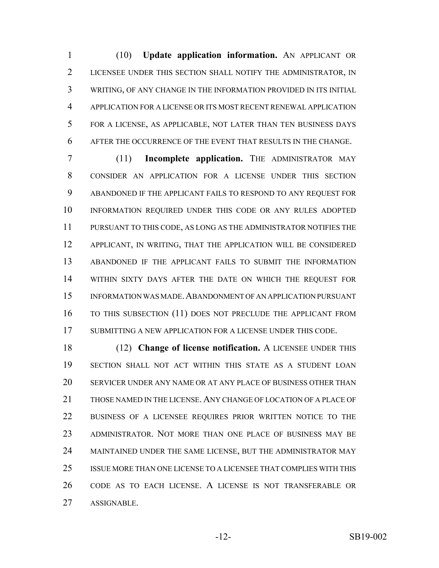(10) **Update application information.** AN APPLICANT OR LICENSEE UNDER THIS SECTION SHALL NOTIFY THE ADMINISTRATOR, IN WRITING, OF ANY CHANGE IN THE INFORMATION PROVIDED IN ITS INITIAL APPLICATION FOR A LICENSE OR ITS MOST RECENT RENEWAL APPLICATION FOR A LICENSE, AS APPLICABLE, NOT LATER THAN TEN BUSINESS DAYS AFTER THE OCCURRENCE OF THE EVENT THAT RESULTS IN THE CHANGE.

 (11) **Incomplete application.** THE ADMINISTRATOR MAY CONSIDER AN APPLICATION FOR A LICENSE UNDER THIS SECTION ABANDONED IF THE APPLICANT FAILS TO RESPOND TO ANY REQUEST FOR INFORMATION REQUIRED UNDER THIS CODE OR ANY RULES ADOPTED PURSUANT TO THIS CODE, AS LONG AS THE ADMINISTRATOR NOTIFIES THE APPLICANT, IN WRITING, THAT THE APPLICATION WILL BE CONSIDERED ABANDONED IF THE APPLICANT FAILS TO SUBMIT THE INFORMATION WITHIN SIXTY DAYS AFTER THE DATE ON WHICH THE REQUEST FOR INFORMATION WAS MADE.ABANDONMENT OF AN APPLICATION PURSUANT 16 TO THIS SUBSECTION (11) DOES NOT PRECLUDE THE APPLICANT FROM SUBMITTING A NEW APPLICATION FOR A LICENSE UNDER THIS CODE.

 (12) **Change of license notification.** A LICENSEE UNDER THIS SECTION SHALL NOT ACT WITHIN THIS STATE AS A STUDENT LOAN SERVICER UNDER ANY NAME OR AT ANY PLACE OF BUSINESS OTHER THAN THOSE NAMED IN THE LICENSE. ANY CHANGE OF LOCATION OF A PLACE OF BUSINESS OF A LICENSEE REQUIRES PRIOR WRITTEN NOTICE TO THE ADMINISTRATOR. NOT MORE THAN ONE PLACE OF BUSINESS MAY BE MAINTAINED UNDER THE SAME LICENSE, BUT THE ADMINISTRATOR MAY ISSUE MORE THAN ONE LICENSE TO A LICENSEE THAT COMPLIES WITH THIS CODE AS TO EACH LICENSE. A LICENSE IS NOT TRANSFERABLE OR ASSIGNABLE.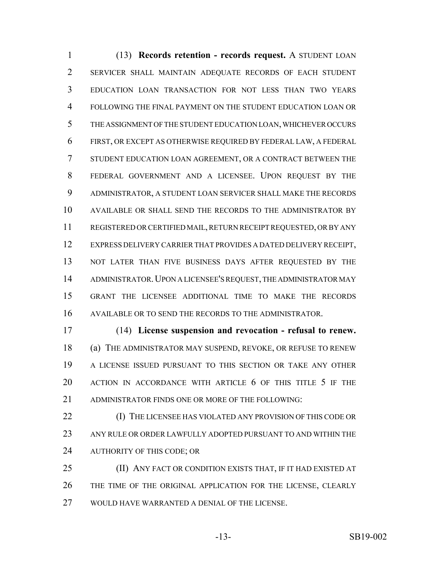(13) **Records retention - records request.** A STUDENT LOAN SERVICER SHALL MAINTAIN ADEQUATE RECORDS OF EACH STUDENT EDUCATION LOAN TRANSACTION FOR NOT LESS THAN TWO YEARS FOLLOWING THE FINAL PAYMENT ON THE STUDENT EDUCATION LOAN OR THE ASSIGNMENT OF THE STUDENT EDUCATION LOAN, WHICHEVER OCCURS FIRST, OR EXCEPT AS OTHERWISE REQUIRED BY FEDERAL LAW, A FEDERAL STUDENT EDUCATION LOAN AGREEMENT, OR A CONTRACT BETWEEN THE FEDERAL GOVERNMENT AND A LICENSEE. UPON REQUEST BY THE ADMINISTRATOR, A STUDENT LOAN SERVICER SHALL MAKE THE RECORDS AVAILABLE OR SHALL SEND THE RECORDS TO THE ADMINISTRATOR BY REGISTERED OR CERTIFIED MAIL, RETURN RECEIPT REQUESTED, OR BY ANY EXPRESS DELIVERY CARRIER THAT PROVIDES A DATED DELIVERY RECEIPT, 13 NOT LATER THAN FIVE BUSINESS DAYS AFTER REQUESTED BY THE ADMINISTRATOR.UPON A LICENSEE'S REQUEST, THE ADMINISTRATOR MAY GRANT THE LICENSEE ADDITIONAL TIME TO MAKE THE RECORDS AVAILABLE OR TO SEND THE RECORDS TO THE ADMINISTRATOR.

 (14) **License suspension and revocation - refusal to renew.** (a) THE ADMINISTRATOR MAY SUSPEND, REVOKE, OR REFUSE TO RENEW A LICENSE ISSUED PURSUANT TO THIS SECTION OR TAKE ANY OTHER 20 ACTION IN ACCORDANCE WITH ARTICLE 6 OF THIS TITLE 5 IF THE ADMINISTRATOR FINDS ONE OR MORE OF THE FOLLOWING:

 (I) THE LICENSEE HAS VIOLATED ANY PROVISION OF THIS CODE OR ANY RULE OR ORDER LAWFULLY ADOPTED PURSUANT TO AND WITHIN THE AUTHORITY OF THIS CODE; OR

 (II) ANY FACT OR CONDITION EXISTS THAT, IF IT HAD EXISTED AT THE TIME OF THE ORIGINAL APPLICATION FOR THE LICENSE, CLEARLY WOULD HAVE WARRANTED A DENIAL OF THE LICENSE.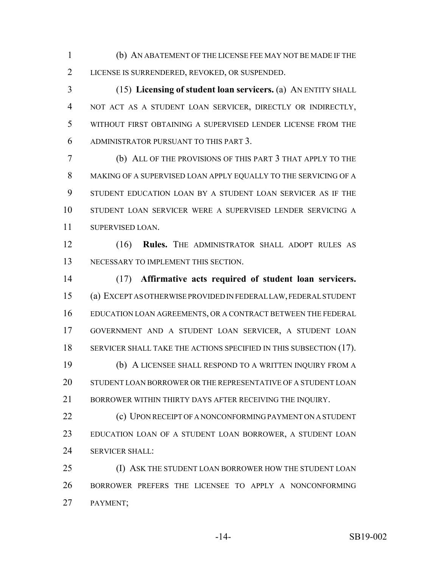(b) AN ABATEMENT OF THE LICENSE FEE MAY NOT BE MADE IF THE LICENSE IS SURRENDERED, REVOKED, OR SUSPENDED.

 (15) **Licensing of student loan servicers.** (a) AN ENTITY SHALL NOT ACT AS A STUDENT LOAN SERVICER, DIRECTLY OR INDIRECTLY, WITHOUT FIRST OBTAINING A SUPERVISED LENDER LICENSE FROM THE ADMINISTRATOR PURSUANT TO THIS PART 3.

 (b) ALL OF THE PROVISIONS OF THIS PART 3 THAT APPLY TO THE MAKING OF A SUPERVISED LOAN APPLY EQUALLY TO THE SERVICING OF A STUDENT EDUCATION LOAN BY A STUDENT LOAN SERVICER AS IF THE STUDENT LOAN SERVICER WERE A SUPERVISED LENDER SERVICING A SUPERVISED LOAN.

 (16) **Rules.** THE ADMINISTRATOR SHALL ADOPT RULES AS NECESSARY TO IMPLEMENT THIS SECTION.

 (17) **Affirmative acts required of student loan servicers.** (a) EXCEPT AS OTHERWISE PROVIDED IN FEDERAL LAW, FEDERAL STUDENT EDUCATION LOAN AGREEMENTS, OR A CONTRACT BETWEEN THE FEDERAL GOVERNMENT AND A STUDENT LOAN SERVICER, A STUDENT LOAN 18 SERVICER SHALL TAKE THE ACTIONS SPECIFIED IN THIS SUBSECTION (17). (b) A LICENSEE SHALL RESPOND TO A WRITTEN INQUIRY FROM A STUDENT LOAN BORROWER OR THE REPRESENTATIVE OF A STUDENT LOAN

21 BORROWER WITHIN THIRTY DAYS AFTER RECEIVING THE INOUIRY.

**(c) UPON RECEIPT OF A NONCONFORMING PAYMENT ON A STUDENT**  EDUCATION LOAN OF A STUDENT LOAN BORROWER, A STUDENT LOAN 24 SERVICER SHALL:

25 (I) ASK THE STUDENT LOAN BORROWER HOW THE STUDENT LOAN BORROWER PREFERS THE LICENSEE TO APPLY A NONCONFORMING PAYMENT;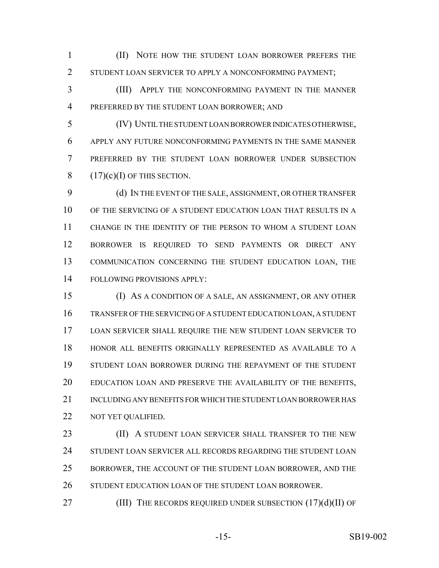(II) NOTE HOW THE STUDENT LOAN BORROWER PREFERS THE 2 STUDENT LOAN SERVICER TO APPLY A NONCONFORMING PAYMENT;

 (III) APPLY THE NONCONFORMING PAYMENT IN THE MANNER PREFERRED BY THE STUDENT LOAN BORROWER; AND

 (IV) UNTIL THE STUDENT LOAN BORROWER INDICATES OTHERWISE, APPLY ANY FUTURE NONCONFORMING PAYMENTS IN THE SAME MANNER PREFERRED BY THE STUDENT LOAN BORROWER UNDER SUBSECTION  $(17)(c)(I)$  OF THIS SECTION.

 (d) IN THE EVENT OF THE SALE, ASSIGNMENT, OR OTHER TRANSFER OF THE SERVICING OF A STUDENT EDUCATION LOAN THAT RESULTS IN A CHANGE IN THE IDENTITY OF THE PERSON TO WHOM A STUDENT LOAN BORROWER IS REQUIRED TO SEND PAYMENTS OR DIRECT ANY COMMUNICATION CONCERNING THE STUDENT EDUCATION LOAN, THE FOLLOWING PROVISIONS APPLY:

 (I) AS A CONDITION OF A SALE, AN ASSIGNMENT, OR ANY OTHER TRANSFER OF THE SERVICING OF A STUDENT EDUCATION LOAN, A STUDENT LOAN SERVICER SHALL REQUIRE THE NEW STUDENT LOAN SERVICER TO HONOR ALL BENEFITS ORIGINALLY REPRESENTED AS AVAILABLE TO A STUDENT LOAN BORROWER DURING THE REPAYMENT OF THE STUDENT EDUCATION LOAN AND PRESERVE THE AVAILABILITY OF THE BENEFITS, INCLUDING ANY BENEFITS FOR WHICH THE STUDENT LOAN BORROWER HAS NOT YET QUALIFIED.

**(II) A STUDENT LOAN SERVICER SHALL TRANSFER TO THE NEW** 24 STUDENT LOAN SERVICER ALL RECORDS REGARDING THE STUDENT LOAN BORROWER, THE ACCOUNT OF THE STUDENT LOAN BORROWER, AND THE STUDENT EDUCATION LOAN OF THE STUDENT LOAN BORROWER.

27 (III) THE RECORDS REQUIRED UNDER SUBSECTION (17)(d)(II) OF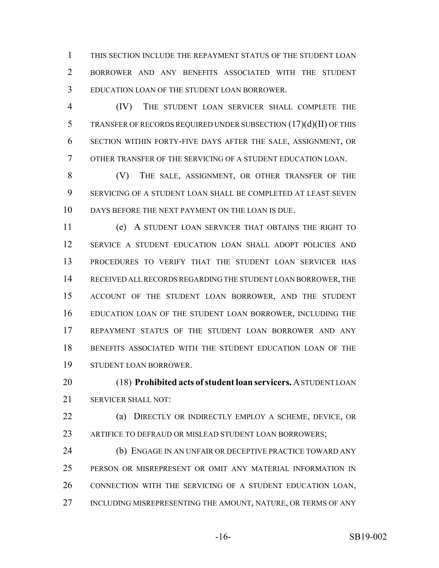THIS SECTION INCLUDE THE REPAYMENT STATUS OF THE STUDENT LOAN BORROWER AND ANY BENEFITS ASSOCIATED WITH THE STUDENT EDUCATION LOAN OF THE STUDENT LOAN BORROWER.

 (IV) THE STUDENT LOAN SERVICER SHALL COMPLETE THE TRANSFER OF RECORDS REQUIRED UNDER SUBSECTION (17)(d)(II) OF THIS SECTION WITHIN FORTY-FIVE DAYS AFTER THE SALE, ASSIGNMENT, OR OTHER TRANSFER OF THE SERVICING OF A STUDENT EDUCATION LOAN.

 (V) THE SALE, ASSIGNMENT, OR OTHER TRANSFER OF THE SERVICING OF A STUDENT LOAN SHALL BE COMPLETED AT LEAST SEVEN DAYS BEFORE THE NEXT PAYMENT ON THE LOAN IS DUE.

 (e) A STUDENT LOAN SERVICER THAT OBTAINS THE RIGHT TO SERVICE A STUDENT EDUCATION LOAN SHALL ADOPT POLICIES AND PROCEDURES TO VERIFY THAT THE STUDENT LOAN SERVICER HAS RECEIVED ALL RECORDS REGARDING THE STUDENT LOAN BORROWER, THE ACCOUNT OF THE STUDENT LOAN BORROWER, AND THE STUDENT EDUCATION LOAN OF THE STUDENT LOAN BORROWER, INCLUDING THE REPAYMENT STATUS OF THE STUDENT LOAN BORROWER AND ANY BENEFITS ASSOCIATED WITH THE STUDENT EDUCATION LOAN OF THE STUDENT LOAN BORROWER.

 (18) **Prohibited acts of student loan servicers.** A STUDENT LOAN SERVICER SHALL NOT:

 (a) DIRECTLY OR INDIRECTLY EMPLOY A SCHEME, DEVICE, OR 23 ARTIFICE TO DEFRAUD OR MISLEAD STUDENT LOAN BORROWERS;

 (b) ENGAGE IN AN UNFAIR OR DECEPTIVE PRACTICE TOWARD ANY PERSON OR MISREPRESENT OR OMIT ANY MATERIAL INFORMATION IN CONNECTION WITH THE SERVICING OF A STUDENT EDUCATION LOAN, 27 INCLUDING MISREPRESENTING THE AMOUNT, NATURE, OR TERMS OF ANY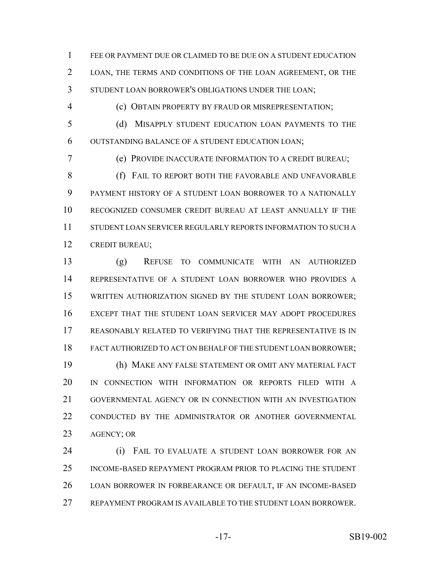FEE OR PAYMENT DUE OR CLAIMED TO BE DUE ON A STUDENT EDUCATION LOAN, THE TERMS AND CONDITIONS OF THE LOAN AGREEMENT, OR THE STUDENT LOAN BORROWER'S OBLIGATIONS UNDER THE LOAN;

(c) OBTAIN PROPERTY BY FRAUD OR MISREPRESENTATION;

 (d) MISAPPLY STUDENT EDUCATION LOAN PAYMENTS TO THE OUTSTANDING BALANCE OF A STUDENT EDUCATION LOAN;

(e) PROVIDE INACCURATE INFORMATION TO A CREDIT BUREAU;

8 (f) FAIL TO REPORT BOTH THE FAVORABLE AND UNFAVORABLE PAYMENT HISTORY OF A STUDENT LOAN BORROWER TO A NATIONALLY RECOGNIZED CONSUMER CREDIT BUREAU AT LEAST ANNUALLY IF THE STUDENT LOAN SERVICER REGULARLY REPORTS INFORMATION TO SUCH A CREDIT BUREAU;

 (g) REFUSE TO COMMUNICATE WITH AN AUTHORIZED REPRESENTATIVE OF A STUDENT LOAN BORROWER WHO PROVIDES A WRITTEN AUTHORIZATION SIGNED BY THE STUDENT LOAN BORROWER; EXCEPT THAT THE STUDENT LOAN SERVICER MAY ADOPT PROCEDURES REASONABLY RELATED TO VERIFYING THAT THE REPRESENTATIVE IS IN FACT AUTHORIZED TO ACT ON BEHALF OF THE STUDENT LOAN BORROWER; (h) MAKE ANY FALSE STATEMENT OR OMIT ANY MATERIAL FACT IN CONNECTION WITH INFORMATION OR REPORTS FILED WITH A GOVERNMENTAL AGENCY OR IN CONNECTION WITH AN INVESTIGATION CONDUCTED BY THE ADMINISTRATOR OR ANOTHER GOVERNMENTAL AGENCY; OR

24 (i) FAIL TO EVALUATE A STUDENT LOAN BORROWER FOR AN INCOME-BASED REPAYMENT PROGRAM PRIOR TO PLACING THE STUDENT LOAN BORROWER IN FORBEARANCE OR DEFAULT, IF AN INCOME-BASED REPAYMENT PROGRAM IS AVAILABLE TO THE STUDENT LOAN BORROWER.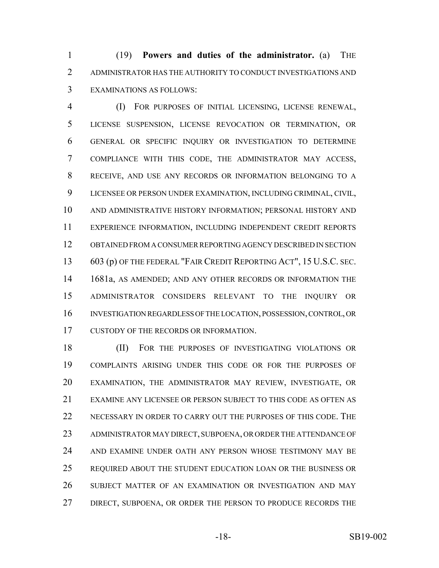(19) **Powers and duties of the administrator.** (a) THE ADMINISTRATOR HAS THE AUTHORITY TO CONDUCT INVESTIGATIONS AND EXAMINATIONS AS FOLLOWS:

 (I) FOR PURPOSES OF INITIAL LICENSING, LICENSE RENEWAL, LICENSE SUSPENSION, LICENSE REVOCATION OR TERMINATION, OR GENERAL OR SPECIFIC INQUIRY OR INVESTIGATION TO DETERMINE COMPLIANCE WITH THIS CODE, THE ADMINISTRATOR MAY ACCESS, RECEIVE, AND USE ANY RECORDS OR INFORMATION BELONGING TO A LICENSEE OR PERSON UNDER EXAMINATION, INCLUDING CRIMINAL, CIVIL, AND ADMINISTRATIVE HISTORY INFORMATION; PERSONAL HISTORY AND EXPERIENCE INFORMATION, INCLUDING INDEPENDENT CREDIT REPORTS OBTAINED FROM A CONSUMER REPORTING AGENCY DESCRIBED IN SECTION 603 (p) OF THE FEDERAL "FAIR CREDIT REPORTING ACT", 15 U.S.C. SEC. 1681a, AS AMENDED; AND ANY OTHER RECORDS OR INFORMATION THE ADMINISTRATOR CONSIDERS RELEVANT TO THE INQUIRY OR INVESTIGATION REGARDLESS OF THE LOCATION, POSSESSION, CONTROL, OR CUSTODY OF THE RECORDS OR INFORMATION.

 (II) FOR THE PURPOSES OF INVESTIGATING VIOLATIONS OR COMPLAINTS ARISING UNDER THIS CODE OR FOR THE PURPOSES OF EXAMINATION, THE ADMINISTRATOR MAY REVIEW, INVESTIGATE, OR EXAMINE ANY LICENSEE OR PERSON SUBJECT TO THIS CODE AS OFTEN AS NECESSARY IN ORDER TO CARRY OUT THE PURPOSES OF THIS CODE. THE ADMINISTRATOR MAY DIRECT, SUBPOENA, OR ORDER THE ATTENDANCE OF AND EXAMINE UNDER OATH ANY PERSON WHOSE TESTIMONY MAY BE REQUIRED ABOUT THE STUDENT EDUCATION LOAN OR THE BUSINESS OR SUBJECT MATTER OF AN EXAMINATION OR INVESTIGATION AND MAY 27 DIRECT, SUBPOENA, OR ORDER THE PERSON TO PRODUCE RECORDS THE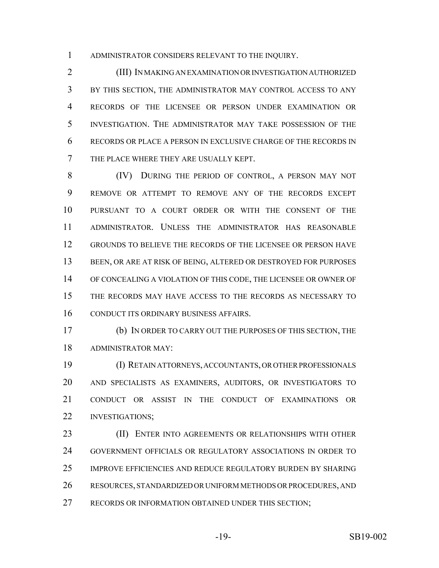ADMINISTRATOR CONSIDERS RELEVANT TO THE INQUIRY.

 (III) IN MAKING AN EXAMINATION OR INVESTIGATION AUTHORIZED BY THIS SECTION, THE ADMINISTRATOR MAY CONTROL ACCESS TO ANY RECORDS OF THE LICENSEE OR PERSON UNDER EXAMINATION OR INVESTIGATION. THE ADMINISTRATOR MAY TAKE POSSESSION OF THE RECORDS OR PLACE A PERSON IN EXCLUSIVE CHARGE OF THE RECORDS IN THE PLACE WHERE THEY ARE USUALLY KEPT.

 (IV) DURING THE PERIOD OF CONTROL, A PERSON MAY NOT REMOVE OR ATTEMPT TO REMOVE ANY OF THE RECORDS EXCEPT PURSUANT TO A COURT ORDER OR WITH THE CONSENT OF THE ADMINISTRATOR. UNLESS THE ADMINISTRATOR HAS REASONABLE GROUNDS TO BELIEVE THE RECORDS OF THE LICENSEE OR PERSON HAVE BEEN, OR ARE AT RISK OF BEING, ALTERED OR DESTROYED FOR PURPOSES OF CONCEALING A VIOLATION OF THIS CODE, THE LICENSEE OR OWNER OF THE RECORDS MAY HAVE ACCESS TO THE RECORDS AS NECESSARY TO CONDUCT ITS ORDINARY BUSINESS AFFAIRS.

 (b) IN ORDER TO CARRY OUT THE PURPOSES OF THIS SECTION, THE ADMINISTRATOR MAY:

 (I) RETAIN ATTORNEYS, ACCOUNTANTS, OR OTHER PROFESSIONALS AND SPECIALISTS AS EXAMINERS, AUDITORS, OR INVESTIGATORS TO CONDUCT OR ASSIST IN THE CONDUCT OF EXAMINATIONS OR 22 INVESTIGATIONS:

**(II) ENTER INTO AGREEMENTS OR RELATIONSHIPS WITH OTHER**  GOVERNMENT OFFICIALS OR REGULATORY ASSOCIATIONS IN ORDER TO IMPROVE EFFICIENCIES AND REDUCE REGULATORY BURDEN BY SHARING RESOURCES, STANDARDIZED OR UNIFORM METHODS OR PROCEDURES, AND 27 RECORDS OR INFORMATION OBTAINED UNDER THIS SECTION;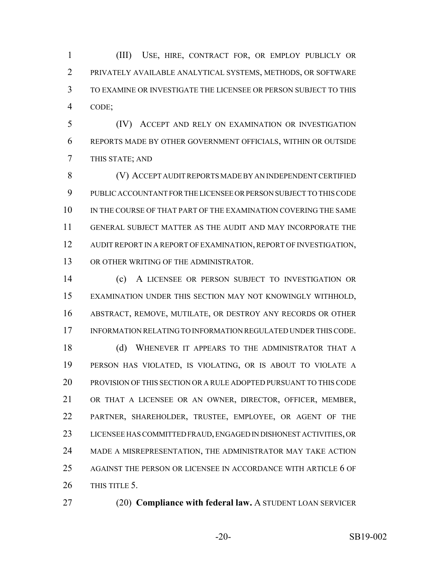(III) USE, HIRE, CONTRACT FOR, OR EMPLOY PUBLICLY OR PRIVATELY AVAILABLE ANALYTICAL SYSTEMS, METHODS, OR SOFTWARE TO EXAMINE OR INVESTIGATE THE LICENSEE OR PERSON SUBJECT TO THIS CODE;

 (IV) ACCEPT AND RELY ON EXAMINATION OR INVESTIGATION REPORTS MADE BY OTHER GOVERNMENT OFFICIALS, WITHIN OR OUTSIDE THIS STATE; AND

 (V) ACCEPT AUDIT REPORTS MADE BY AN INDEPENDENT CERTIFIED PUBLIC ACCOUNTANT FOR THE LICENSEE OR PERSON SUBJECT TO THIS CODE 10 IN THE COURSE OF THAT PART OF THE EXAMINATION COVERING THE SAME GENERAL SUBJECT MATTER AS THE AUDIT AND MAY INCORPORATE THE AUDIT REPORT IN A REPORT OF EXAMINATION, REPORT OF INVESTIGATION, 13 OR OTHER WRITING OF THE ADMINISTRATOR.

 (c) A LICENSEE OR PERSON SUBJECT TO INVESTIGATION OR EXAMINATION UNDER THIS SECTION MAY NOT KNOWINGLY WITHHOLD, ABSTRACT, REMOVE, MUTILATE, OR DESTROY ANY RECORDS OR OTHER INFORMATION RELATING TO INFORMATION REGULATED UNDER THIS CODE.

18 (d) WHENEVER IT APPEARS TO THE ADMINISTRATOR THAT A PERSON HAS VIOLATED, IS VIOLATING, OR IS ABOUT TO VIOLATE A PROVISION OF THIS SECTION OR A RULE ADOPTED PURSUANT TO THIS CODE OR THAT A LICENSEE OR AN OWNER, DIRECTOR, OFFICER, MEMBER, PARTNER, SHAREHOLDER, TRUSTEE, EMPLOYEE, OR AGENT OF THE LICENSEE HAS COMMITTED FRAUD, ENGAGED IN DISHONEST ACTIVITIES, OR MADE A MISREPRESENTATION, THE ADMINISTRATOR MAY TAKE ACTION AGAINST THE PERSON OR LICENSEE IN ACCORDANCE WITH ARTICLE 6 OF 26 THIS TITLE 5.

- 
- (20) **Compliance with federal law.** A STUDENT LOAN SERVICER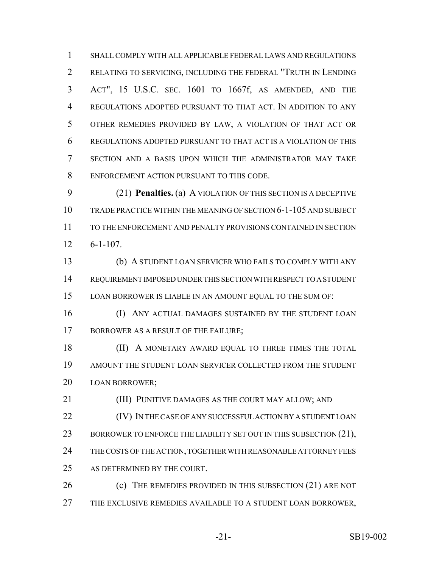SHALL COMPLY WITH ALL APPLICABLE FEDERAL LAWS AND REGULATIONS RELATING TO SERVICING, INCLUDING THE FEDERAL "TRUTH IN LENDING ACT", 15 U.S.C. SEC. 1601 TO 1667f, AS AMENDED, AND THE REGULATIONS ADOPTED PURSUANT TO THAT ACT. IN ADDITION TO ANY OTHER REMEDIES PROVIDED BY LAW, A VIOLATION OF THAT ACT OR REGULATIONS ADOPTED PURSUANT TO THAT ACT IS A VIOLATION OF THIS SECTION AND A BASIS UPON WHICH THE ADMINISTRATOR MAY TAKE ENFORCEMENT ACTION PURSUANT TO THIS CODE.

 (21) **Penalties.** (a) A VIOLATION OF THIS SECTION IS A DECEPTIVE TRADE PRACTICE WITHIN THE MEANING OF SECTION 6-1-105 AND SUBJECT TO THE ENFORCEMENT AND PENALTY PROVISIONS CONTAINED IN SECTION 6-1-107.

 (b) A STUDENT LOAN SERVICER WHO FAILS TO COMPLY WITH ANY REQUIREMENT IMPOSED UNDER THIS SECTION WITH RESPECT TO A STUDENT LOAN BORROWER IS LIABLE IN AN AMOUNT EQUAL TO THE SUM OF:

 (I) ANY ACTUAL DAMAGES SUSTAINED BY THE STUDENT LOAN 17 BORROWER AS A RESULT OF THE FAILURE;

18 (II) A MONETARY AWARD EQUAL TO THREE TIMES THE TOTAL AMOUNT THE STUDENT LOAN SERVICER COLLECTED FROM THE STUDENT LOAN BORROWER;

(III) PUNITIVE DAMAGES AS THE COURT MAY ALLOW; AND

**(IV) IN THE CASE OF ANY SUCCESSFUL ACTION BY A STUDENT LOAN** 23 BORROWER TO ENFORCE THE LIABILITY SET OUT IN THIS SUBSECTION (21), THE COSTS OF THE ACTION, TOGETHER WITH REASONABLE ATTORNEY FEES AS DETERMINED BY THE COURT.

26 (c) THE REMEDIES PROVIDED IN THIS SUBSECTION (21) ARE NOT THE EXCLUSIVE REMEDIES AVAILABLE TO A STUDENT LOAN BORROWER,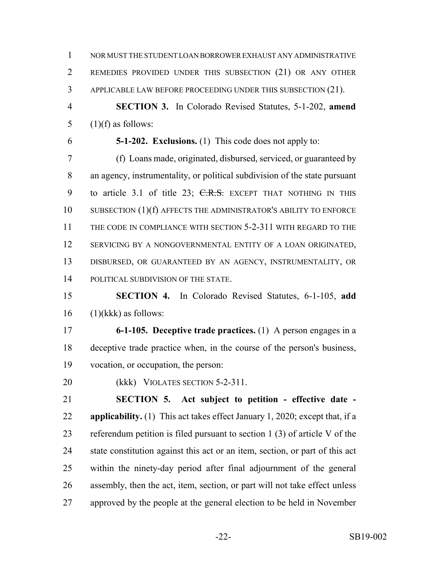NOR MUST THE STUDENT LOAN BORROWER EXHAUST ANY ADMINISTRATIVE REMEDIES PROVIDED UNDER THIS SUBSECTION (21) OR ANY OTHER APPLICABLE LAW BEFORE PROCEEDING UNDER THIS SUBSECTION (21).

 **SECTION 3.** In Colorado Revised Statutes, 5-1-202, **amend** 5  $(1)(f)$  as follows:

**5-1-202. Exclusions.** (1) This code does not apply to:

 (f) Loans made, originated, disbursed, serviced, or guaranteed by an agency, instrumentality, or political subdivision of the state pursuant 9 to article 3.1 of title 23; C.R.S. EXCEPT THAT NOTHING IN THIS 10 SUBSECTION (1)(f) AFFECTS THE ADMINISTRATOR'S ABILITY TO ENFORCE 11 THE CODE IN COMPLIANCE WITH SECTION 5-2-311 WITH REGARD TO THE SERVICING BY A NONGOVERNMENTAL ENTITY OF A LOAN ORIGINATED, DISBURSED, OR GUARANTEED BY AN AGENCY, INSTRUMENTALITY, OR 14 POLITICAL SUBDIVISION OF THE STATE.

 **SECTION 4.** In Colorado Revised Statutes, 6-1-105, **add** (1)(kkk) as follows:

 **6-1-105. Deceptive trade practices.** (1) A person engages in a deceptive trade practice when, in the course of the person's business, vocation, or occupation, the person:

20 (kkk) VIOLATES SECTION 5-2-311.

 **SECTION 5. Act subject to petition - effective date - applicability.** (1) This act takes effect January 1, 2020; except that, if a referendum petition is filed pursuant to section 1 (3) of article V of the state constitution against this act or an item, section, or part of this act within the ninety-day period after final adjournment of the general assembly, then the act, item, section, or part will not take effect unless approved by the people at the general election to be held in November